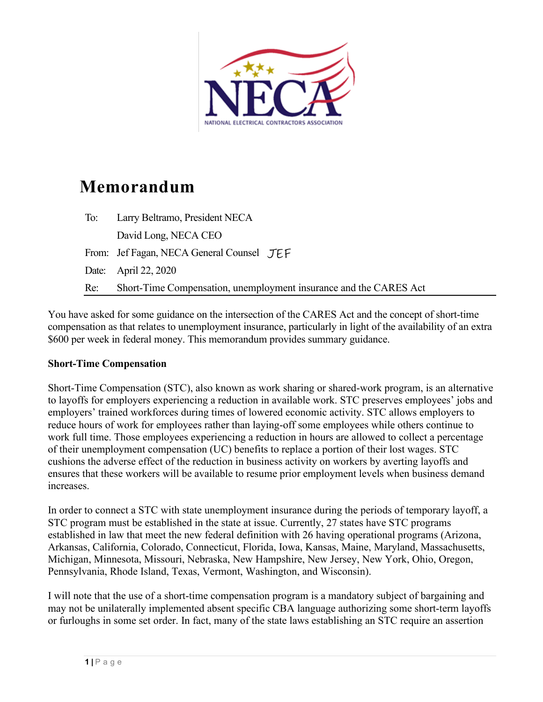

# **Memorandum**

| To: | Larry Beltramo, President NECA                                    |
|-----|-------------------------------------------------------------------|
|     | David Long, NECA CEO                                              |
|     | From: Jef Fagan, NECA General Counsel JEF                         |
|     | Date: April 22, 2020                                              |
| Re: | Short-Time Compensation, unemployment insurance and the CARES Act |

You have asked for some guidance on the intersection of the CARES Act and the concept of short-time compensation as that relates to unemployment insurance, particularly in light of the availability of an extra \$600 per week in federal money. This memorandum provides summary guidance.

# **Short-Time Compensation**

Short-Time Compensation (STC), also known as work sharing or shared-work program, is an alternative to layoffs for employers experiencing a reduction in available work. STC preserves employees' jobs and employers' trained workforces during times of lowered economic activity. STC allows employers to reduce hours of work for employees rather than laying-off some employees while others continue to work full time. Those employees experiencing a reduction in hours are allowed to collect a percentage of their unemployment compensation (UC) benefits to replace a portion of their lost wages. STC cushions the adverse effect of the reduction in business activity on workers by averting layoffs and ensures that these workers will be available to resume prior employment levels when business demand increases.

In order to connect a STC with state unemployment insurance during the periods of temporary layoff, a STC program must be established in the state at issue. Currently, 27 states have STC programs established in law that meet the new federal definition with 26 having operational programs (Arizona, Arkansas, California, Colorado, Connecticut, Florida, Iowa, Kansas, Maine, Maryland, Massachusetts, Michigan, Minnesota, Missouri, Nebraska, New Hampshire, New Jersey, New York, Ohio, Oregon, Pennsylvania, Rhode Island, Texas, Vermont, Washington, and Wisconsin).

I will note that the use of a short-time compensation program is a mandatory subject of bargaining and may not be unilaterally implemented absent specific CBA language authorizing some short-term layoffs or furloughs in some set order. In fact, many of the state laws establishing an STC require an assertion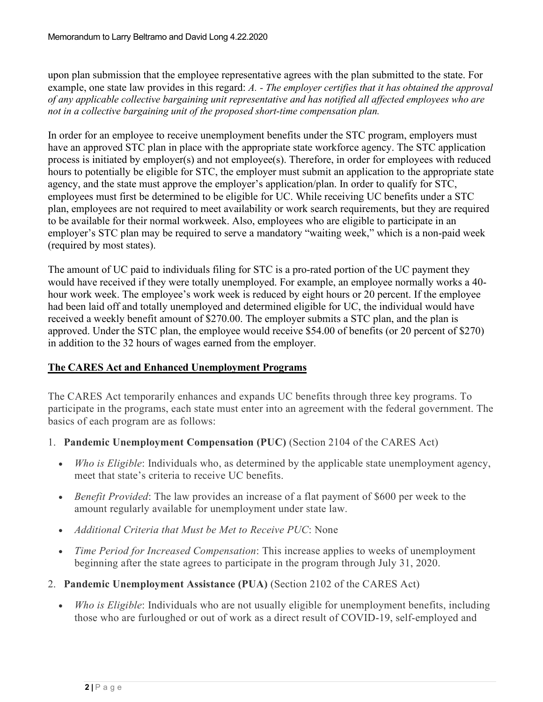upon plan submission that the employee representative agrees with the plan submitted to the state. For example, one state law provides in this regard: *A. - The employer certifies that it has obtained the approval of any applicable collective bargaining unit representative and has notified all affected employees who are not in a collective bargaining unit of the proposed short-time compensation plan.*

In order for an employee to receive unemployment benefits under the STC program, employers must have an approved STC plan in place with the appropriate state workforce agency. The STC application process is initiated by employer(s) and not employee(s). Therefore, in order for employees with reduced hours to potentially be eligible for STC, the employer must submit an application to the appropriate state agency, and the state must approve the employer's application/plan. In order to qualify for STC, employees must first be determined to be eligible for UC. While receiving UC benefits under a STC plan, employees are not required to meet availability or work search requirements, but they are required to be available for their normal workweek. Also, employees who are eligible to participate in an employer's STC plan may be required to serve a mandatory "waiting week," which is a non-paid week (required by most states).

The amount of UC paid to individuals filing for STC is a pro-rated portion of the UC payment they would have received if they were totally unemployed. For example, an employee normally works a 40 hour work week. The employee's work week is reduced by eight hours or 20 percent. If the employee had been laid off and totally unemployed and determined eligible for UC, the individual would have received a weekly benefit amount of \$270.00. The employer submits a STC plan, and the plan is approved. Under the STC plan, the employee would receive \$54.00 of benefits (or 20 percent of \$270) in addition to the 32 hours of wages earned from the employer.

# **The CARES Act and Enhanced Unemployment Programs**

The CARES Act temporarily enhances and expands UC benefits through three key programs. To participate in the programs, each state must enter into an agreement with the federal government. The basics of each program are as follows:

- 1. **Pandemic Unemployment Compensation (PUC)** (Section 2104 of the CARES Act)
	- *Who is Eligible*: Individuals who, as determined by the applicable state unemployment agency, meet that state's criteria to receive UC benefits.
	- *Benefit Provided*: The law provides an increase of a flat payment of \$600 per week to the amount regularly available for unemployment under state law.
	- *Additional Criteria that Must be Met to Receive PUC*: None
	- *Time Period for Increased Compensation*: This increase applies to weeks of unemployment beginning after the state agrees to participate in the program through July 31, 2020.
- 2. **Pandemic Unemployment Assistance (PUA)** (Section 2102 of the CARES Act)
	- *Who is Eligible*: Individuals who are not usually eligible for unemployment benefits, including those who are furloughed or out of work as a direct result of COVID-19, self-employed and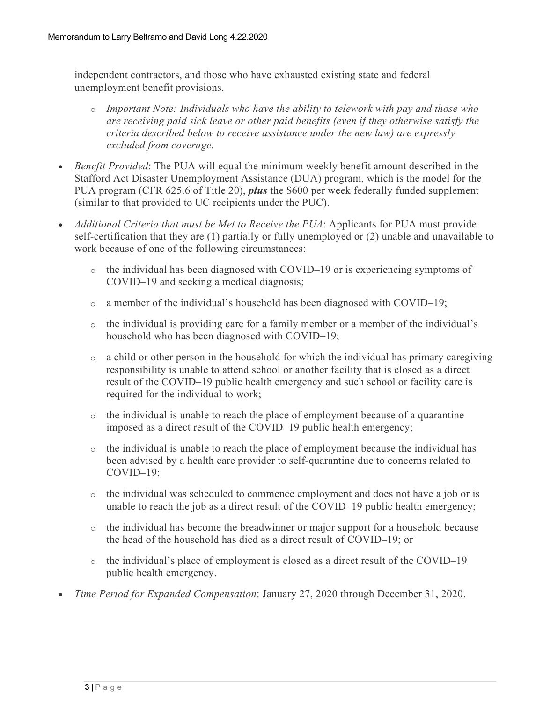independent contractors, and those who have exhausted existing state and federal unemployment benefit provisions.

- o *Important Note: Individuals who have the ability to telework with pay and those who are receiving paid sick leave or other paid benefits (even if they otherwise satisfy the criteria described below to receive assistance under the new law) are expressly excluded from coverage.*
- *Benefit Provided*: The PUA will equal the minimum weekly benefit amount described in the Stafford Act Disaster Unemployment Assistance (DUA) program, which is the model for the PUA program (CFR 625.6 of Title 20), *plus* the \$600 per week federally funded supplement (similar to that provided to UC recipients under the PUC).
- *Additional Criteria that must be Met to Receive the PUA*: Applicants for PUA must provide self-certification that they are (1) partially or fully unemployed or (2) unable and unavailable to work because of one of the following circumstances:
	- $\circ$  the individual has been diagnosed with COVID–19 or is experiencing symptoms of COVID–19 and seeking a medical diagnosis;
	- $\circ$  a member of the individual's household has been diagnosed with COVID–19;
	- $\circ$  the individual is providing care for a family member or a member of the individual's household who has been diagnosed with COVID–19;
	- $\circ$  a child or other person in the household for which the individual has primary caregiving responsibility is unable to attend school or another facility that is closed as a direct result of the COVID–19 public health emergency and such school or facility care is required for the individual to work;
	- $\circ$  the individual is unable to reach the place of employment because of a quarantine imposed as a direct result of the COVID–19 public health emergency;
	- $\circ$  the individual is unable to reach the place of employment because the individual has been advised by a health care provider to self-quarantine due to concerns related to COVID–19;
	- $\circ$  the individual was scheduled to commence employment and does not have a job or is unable to reach the job as a direct result of the COVID–19 public health emergency;
	- $\circ$  the individual has become the breadwinner or major support for a household because the head of the household has died as a direct result of COVID–19; or
	- $\circ$  the individual's place of employment is closed as a direct result of the COVID–19 public health emergency.
- *Time Period for Expanded Compensation*: January 27, 2020 through December 31, 2020.